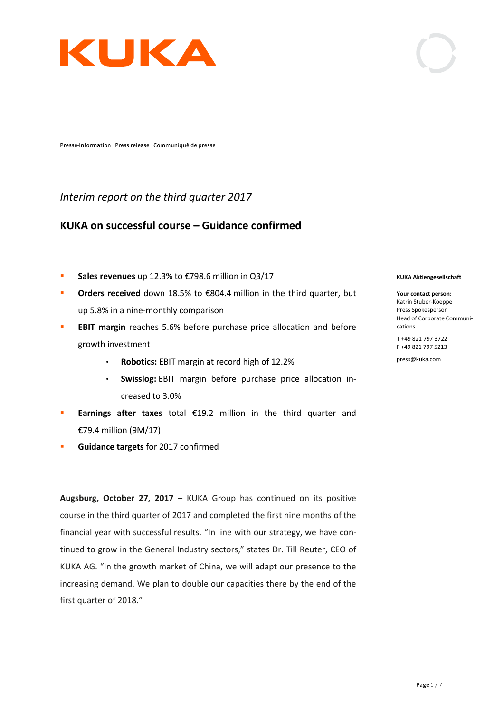

Presse-Information Press release Communiqué de presse

## *Interim report on the third quarter 2017*

# **KUKA on successful course – Guidance confirmed**

- **Sales revenues** up 12.3% to €798.6 million in Q3/17
- **Orders received** down 18.5% to €804.4 million in the third quarter, but up 5.8% in a nine-monthly comparison
- **EBIT margin** reaches 5.6% before purchase price allocation and before growth investment
	- **Robotics:** EBIT margin at record high of 12.2%  $\bullet$
	- **Swisslog:** EBIT margin before purchase price allocation in- $\bullet$ creased to 3.0%
- **Earnings after taxes** total €19.2 million in the third quarter and €79.4 million (9M/17)
- **Guidance targets** for 2017 confirmed

**Augsburg, October 27, 2017** – KUKA Group has continued on its positive course in the third quarter of 2017 and completed the first nine months of the financial year with successful results. "In line with our strategy, we have continued to grow in the General Industry sectors," states Dr. Till Reuter, CEO of KUKA AG. "In the growth market of China, we will adapt our presence to the increasing demand. We plan to double our capacities there by the end of the first quarter of 2018."

### **KUKA Aktiengesellschaft**

**Your contact person:** Katrin Stuber-Koeppe Press Spokesperson Head of Corporate Communications

T +49 821 797 3722 F +49 821 797 5213

press@kuka.com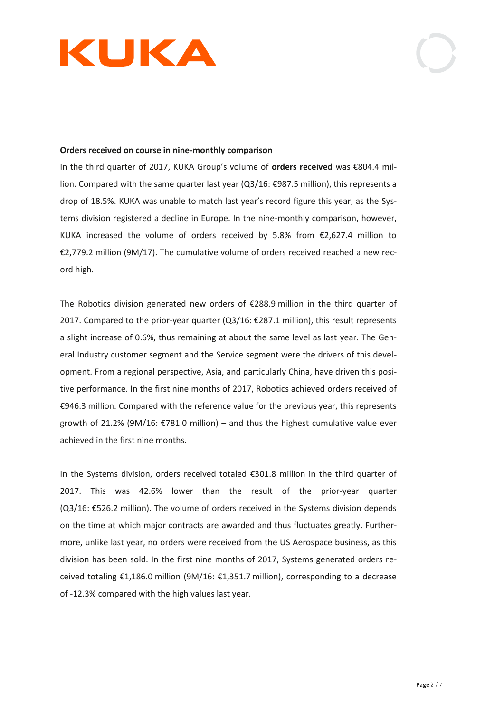

## **Orders received on course in nine-monthly comparison**

In the third quarter of 2017, KUKA Group's volume of **orders received** was €804.4 million. Compared with the same quarter last year (Q3/16: €987.5 million), this represents a drop of 18.5%. KUKA was unable to match last year's record figure this year, as the Systems division registered a decline in Europe. In the nine-monthly comparison, however, KUKA increased the volume of orders received by 5.8% from €2,627.4 million to €2,779.2 million (9M/17). The cumulative volume of orders received reached a new record high.

The Robotics division generated new orders of €288.9 million in the third quarter of 2017. Compared to the prior-year quarter (Q3/16: €287.1 million), this result represents a slight increase of 0.6%, thus remaining at about the same level as last year. The General Industry customer segment and the Service segment were the drivers of this development. From a regional perspective, Asia, and particularly China, have driven this positive performance. In the first nine months of 2017, Robotics achieved orders received of €946.3 million. Compared with the reference value for the previous year, this represents growth of 21.2% (9M/16:  $\epsilon$ 781.0 million) – and thus the highest cumulative value ever achieved in the first nine months.

In the Systems division, orders received totaled €301.8 million in the third quarter of 2017. This was 42.6% lower than the result of the prior-year quarter (Q3/16: €526.2 million). The volume of orders received in the Systems division depends on the time at which major contracts are awarded and thus fluctuates greatly. Furthermore, unlike last year, no orders were received from the US Aerospace business, as this division has been sold. In the first nine months of 2017, Systems generated orders received totaling €1,186.0 million (9M/16: €1,351.7 million), corresponding to a decrease of -12.3% compared with the high values last year.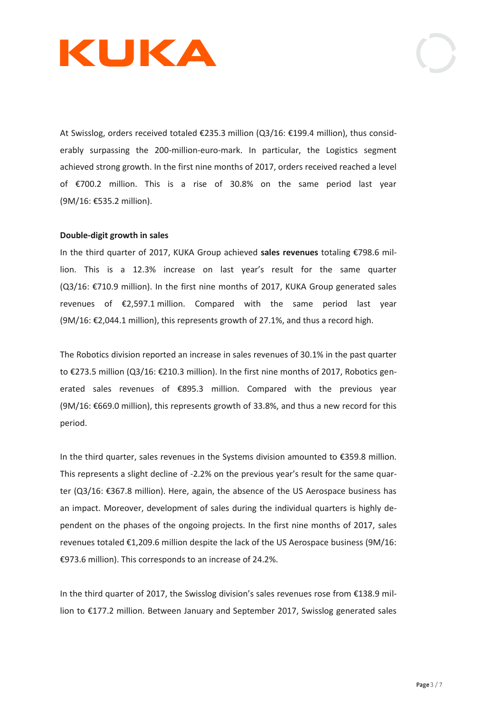

At Swisslog, orders received totaled €235.3 million (Q3/16: €199.4 million), thus considerably surpassing the 200-million-euro-mark. In particular, the Logistics segment achieved strong growth. In the first nine months of 2017, orders received reached a level of €700.2 million. This is a rise of 30.8% on the same period last year (9M/16: €535.2 million).

### **Double-digit growth in sales**

In the third quarter of 2017, KUKA Group achieved **sales revenues** totaling €798.6 million. This is a 12.3% increase on last year's result for the same quarter (Q3/16: €710.9 million). In the first nine months of 2017, KUKA Group generated sales revenues of €2,597.1 million. Compared with the same period last year  $(9M/16: \text{\textsterling}2,044.1 \text{ million})$ , this represents growth of 27.1%, and thus a record high.

The Robotics division reported an increase in sales revenues of 30.1% in the past quarter to €273.5 million (Q3/16: €210.3 million). In the first nine months of 2017, Robotics generated sales revenues of €895.3 million. Compared with the previous year (9M/16: €669.0 million), this represents growth of 33.8%, and thus a new record for this period.

In the third quarter, sales revenues in the Systems division amounted to €359.8 million. This represents a slight decline of -2.2% on the previous year's result for the same quarter (Q3/16: €367.8 million). Here, again, the absence of the US Aerospace business has an impact. Moreover, development of sales during the individual quarters is highly dependent on the phases of the ongoing projects. In the first nine months of 2017, sales revenues totaled €1,209.6 million despite the lack of the US Aerospace business (9M/16: €973.6 million). This corresponds to an increase of 24.2%.

In the third quarter of 2017, the Swisslog division's sales revenues rose from €138.9 million to €177.2 million. Between January and September 2017, Swisslog generated sales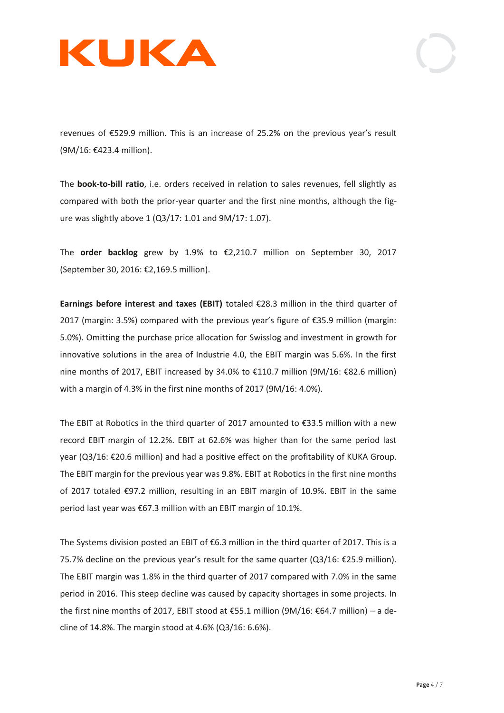

revenues of €529.9 million. This is an increase of 25.2% on the previous year's result (9M/16: €423.4 million).

The **book-to-bill ratio**, i.e. orders received in relation to sales revenues, fell slightly as compared with both the prior-year quarter and the first nine months, although the figure was slightly above 1 (Q3/17: 1.01 and 9M/17: 1.07).

The **order backlog** grew by 1.9% to €2,210.7 million on September 30, 2017 (September 30, 2016: €2,169.5 million).

**Earnings before interest and taxes (EBIT)** totaled €28.3 million in the third quarter of 2017 (margin: 3.5%) compared with the previous year's figure of €35.9 million (margin: 5.0%). Omitting the purchase price allocation for Swisslog and investment in growth for innovative solutions in the area of Industrie 4.0, the EBIT margin was 5.6%. In the first nine months of 2017, EBIT increased by 34.0% to €110.7 million (9M/16: €82.6 million) with a margin of 4.3% in the first nine months of 2017 (9M/16: 4.0%).

The EBIT at Robotics in the third quarter of 2017 amounted to  $\epsilon$ 33.5 million with a new record EBIT margin of 12.2%. EBIT at 62.6% was higher than for the same period last year (Q3/16: €20.6 million) and had a positive effect on the profitability of KUKA Group. The EBIT margin for the previous year was 9.8%. EBIT at Robotics in the first nine months of 2017 totaled €97.2 million, resulting in an EBIT margin of 10.9%. EBIT in the same period last year was €67.3 million with an EBIT margin of 10.1%.

The Systems division posted an EBIT of €6.3 million in the third quarter of 2017. This is a 75.7% decline on the previous year's result for the same quarter (Q3/16: €25.9 million). The EBIT margin was 1.8% in the third quarter of 2017 compared with 7.0% in the same period in 2016. This steep decline was caused by capacity shortages in some projects. In the first nine months of 2017, EBIT stood at €55.1 million (9M/16: €64.7 million) – a decline of 14.8%. The margin stood at 4.6% (Q3/16: 6.6%).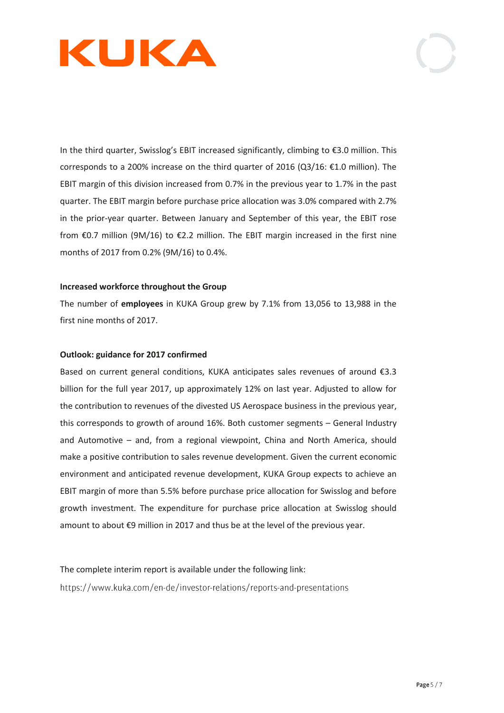

In the third quarter, Swisslog's EBIT increased significantly, climbing to €3.0 million. This corresponds to a 200% increase on the third quarter of 2016 (Q3/16: €1.0 million). The EBIT margin of this division increased from 0.7% in the previous year to 1.7% in the past quarter. The EBIT margin before purchase price allocation was 3.0% compared with 2.7% in the prior-year quarter. Between January and September of this year, the EBIT rose from €0.7 million (9M/16) to €2.2 million. The EBIT margin increased in the first nine months of 2017 from 0.2% (9M/16) to 0.4%.

## **Increased workforce throughout the Group**

The number of **employees** in KUKA Group grew by 7.1% from 13,056 to 13,988 in the first nine months of 2017.

## **Outlook: guidance for 2017 confirmed**

Based on current general conditions, KUKA anticipates sales revenues of around €3.3 billion for the full year 2017, up approximately 12% on last year. Adjusted to allow for the contribution to revenues of the divested US Aerospace business in the previous year, this corresponds to growth of around 16%. Both customer segments – General Industry and Automotive – and, from a regional viewpoint, China and North America, should make a positive contribution to sales revenue development. Given the current economic environment and anticipated revenue development, KUKA Group expects to achieve an EBIT margin of more than 5.5% before purchase price allocation for Swisslog and before growth investment. The expenditure for purchase price allocation at Swisslog should amount to about €9 million in 2017 and thus be at the level of the previous year.

The complete interim report is available under the following link:https://www.kuka.com/en-de/investor-relations/reports-and-presentations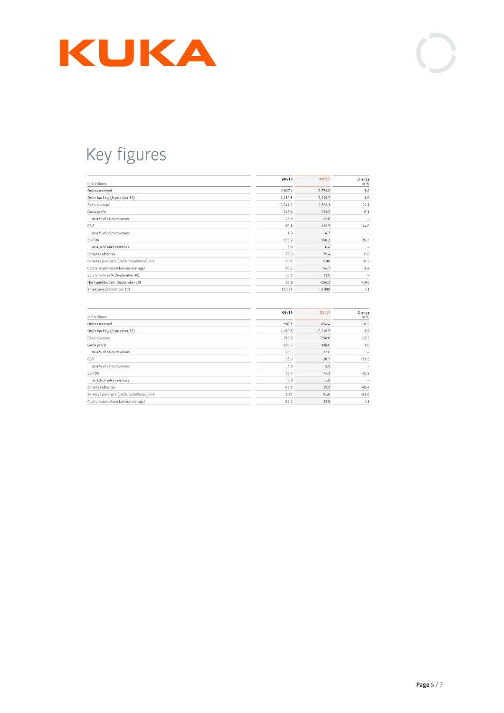

# Key figures

| in $\epsilon$ millions                      | 9M/16   | 9M/17    | Change<br>in % |
|---------------------------------------------|---------|----------|----------------|
| Orders received                             | 2,627.4 | 2,779.2  | 5.8            |
| Order backlog (September 30)                | 2,169.5 | 2,210.7  | 1.9            |
| Sales revenues                              | 2,044.1 | 2,597.1  | 27.1           |
| Gross profit                                | 548.6   | 593.2    | 8.1            |
| as a % of sales revenues                    | 26.8    | 22.8     |                |
| EBIT                                        | 82.6    | 110.7    | 34.0           |
| as a % of sales revenues                    | 4.0     | 4.3      |                |
| EBITDA                                      | 138.2   | 166.2    | 20.3           |
| as a % of sales revenues                    | 6.8     | 6.4      |                |
| Earnings after tax                          | 78.9    | 79.4     | 0.6            |
| Earnings per share (undiluted/diluted) in € | 2.01    | 2.00     | $-0.5$         |
| Capital expenditure (annual average)        | 63.2    | 64.7     | 2.4            |
| Equity ratio as % (September 30)            | 33.5    | 32.9     | $\sim$         |
| Net liquidity/debt (September 30)           | 85.9    | $-166.3$ | >100           |
| Employees (September 30)                    | 13,056  | 13,988   | 7.1            |
| in $\epsilon$ millions                      | Q3/16   | Q3/17    | Change<br>in % |
| Orders received                             | 987.5   | 804.4    | $-18.5$        |
| Order backlog (September 30)                | 2,169.5 | 2,210.7  | 1.9            |
| Sales revenues                              | 710.9   | 798.6    | 12.3           |
| Gross profit                                | 186.7   | 188.6    | 1.0            |
| as a % of sales revenues                    | 26.3    | 23.6     | ٠              |
| EBIT                                        | 35.9    | 28.3     | $-21.2$        |
| as a % of sales revenues                    | 5.0     | 3.5      |                |
| EBITDA                                      | 56.7    | 47.1     | $-16.9$        |
| as a % of sales revenues                    | 8.0     | 5.9      |                |
| Earnings after tax                          | 48.5    | 19.2     | $-60.4$        |
| Earnings per share (undiluted/diluted) in € | 1.23    | 0.48     | $-61.0$        |
| Capital expenditure (annual average)        | 22.2    | 23.8     | 7.2            |